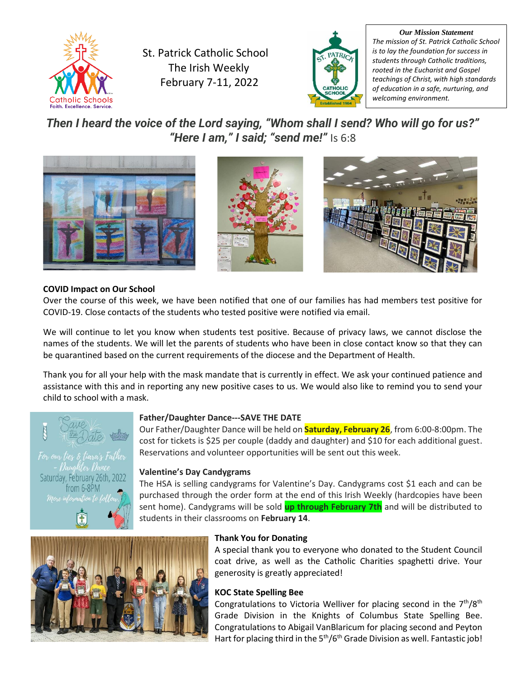

St. Patrick Catholic School The Irish Weekly February 7-11, 2022



*Our Mission Statement The mission of St. Patrick Catholic School is to lay the foundation for success in students through Catholic traditions, rooted in the Eucharist and Gospel teachings of Christ, with high standards of education in a safe, nurturing, and welcoming environment.*

*Then I heard the voice of the Lord saying, "Whom shall I send? Who will go for us?" "Here I am," I said; "send me!"* Is 6:8







# **COVID Impact on Our School**

Over the course of this week, we have been notified that one of our families has had members test positive for COVID-19. Close contacts of the students who tested positive were notified via email.

We will continue to let you know when students test positive. Because of privacy laws, we cannot disclose the names of the students. We will let the parents of students who have been in close contact know so that they can be quarantined based on the current requirements of the diocese and the Department of Health.

Thank you for all your help with the mask mandate that is currently in effect. We ask your continued patience and assistance with this and in reporting any new positive cases to us. We would also like to remind you to send your child to school with a mask.



Saturday, February 26th, 2022 trom 6-8PM

#### **Father/Daughter Dance---SAVE THE DATE**

Our Father/Daughter Dance will be held on **Saturday, February 26**, from 6:00-8:00pm. The cost for tickets is \$25 per couple (daddy and daughter) and \$10 for each additional guest. Reservations and volunteer opportunities will be sent out this week.

#### **Valentine's Day Candygrams**

The HSA is selling candygrams for Valentine's Day. Candygrams cost \$1 each and can be purchased through the order form at the end of this Irish Weekly (hardcopies have been sent home). Candygrams will be sold **up through February 7th** and will be distributed to students in their classrooms on **February 14**.



#### **Thank You for Donating**

A special thank you to everyone who donated to the Student Council coat drive, as well as the Catholic Charities spaghetti drive. Your generosity is greatly appreciated!

#### **KOC State Spelling Bee**

Congratulations to Victoria Welliver for placing second in the  $7<sup>th</sup>/8<sup>th</sup>$ Grade Division in the Knights of Columbus State Spelling Bee. Congratulations to Abigail VanBlaricum for placing second and Peyton Hart for placing third in the 5<sup>th</sup>/6<sup>th</sup> Grade Division as well. Fantastic job!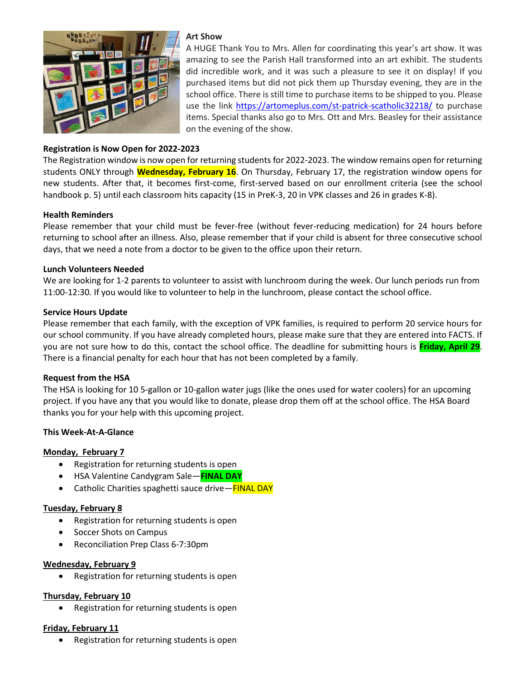

# **Registration is Now Open for 2022-2023**

#### **Art Show**

A HUGE Thank You to Mrs. Allen for coordinating this year's art show. It was amazing to see the Parish Hall transformed into an art exhibit. The students did incredible work, and it was such a pleasure to see it on display! If you purchased items but did not pick them up Thursday evening, they are in the school office. There is still time to purchase items to be shipped to you. Please use the link<https://artomeplus.com/st-patrick-scatholic32218/> to purchase items. Special thanks also go to Mrs. Ott and Mrs. Beasley for their assistance on the evening of the show.

The Registration window is now open for returning students for 2022-2023. The window remains open for returning students ONLY through **Wednesday, February 16**. On Thursday, February 17, the registration window opens for new students. After that, it becomes first-come, first-served based on our enrollment criteria (see the school handbook p. 5) until each classroom hits capacity (15 in PreK-3, 20 in VPK classes and 26 in grades K-8).

# **Health Reminders**

Please remember that your child must be fever-free (without fever-reducing medication) for 24 hours before returning to school after an illness. Also, please remember that if your child is absent for three consecutive school days, that we need a note from a doctor to be given to the office upon their return.

# **Lunch Volunteers Needed**

We are looking for 1-2 parents to volunteer to assist with lunchroom during the week. Our lunch periods run from 11:00-12:30. If you would like to volunteer to help in the lunchroom, please contact the school office.

#### **Service Hours Update**

Please remember that each family, with the exception of VPK families, is required to perform 20 service hours for our school community. If you have already completed hours, please make sure that they are entered into FACTS. If you are not sure how to do this, contact the school office. The deadline for submitting hours is **Friday, April 29**. There is a financial penalty for each hour that has not been completed by a family.

#### **Request from the HSA**

The HSA is looking for 10 5-gallon or 10-gallon water jugs (like the ones used for water coolers) for an upcoming project. If you have any that you would like to donate, please drop them off at the school office. The HSA Board thanks you for your help with this upcoming project.

# **This Week-At-A-Glance**

#### **Monday, February 7**

- Registration for returning students is open
- HSA Valentine Candygram Sale—**FINAL DAY**
- Catholic Charities spaghetti sauce drive—**FINAL DAY**

# **Tuesday, February 8**

- Registration for returning students is open
- Soccer Shots on Campus
- Reconciliation Prep Class 6-7:30pm

#### **Wednesday, February 9**

• Registration for returning students is open

#### **Thursday, February 10**

• Registration for returning students is open

#### **Friday, February 11**

• Registration for returning students is open